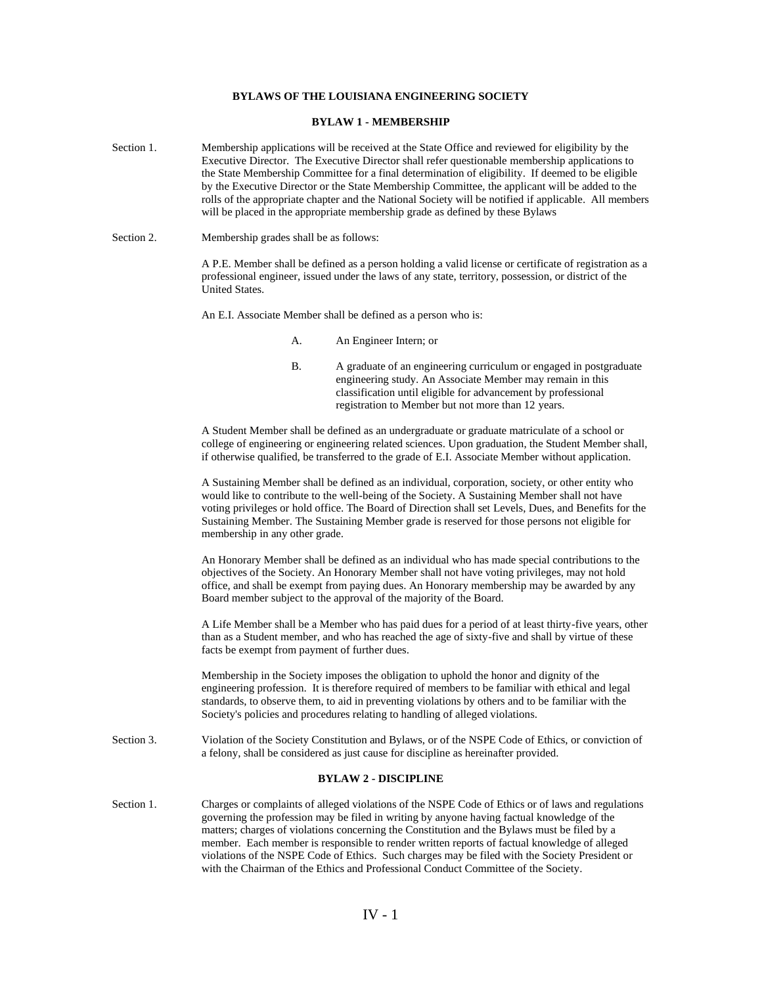## **BYLAWS OF THE LOUISIANA ENGINEERING SOCIETY**

## **BYLAW 1 - MEMBERSHIP**

- Section 1. Membership applications will be received at the State Office and reviewed for eligibility by the Executive Director. The Executive Director shall refer questionable membership applications to the State Membership Committee for a final determination of eligibility. If deemed to be eligible by the Executive Director or the State Membership Committee, the applicant will be added to the rolls of the appropriate chapter and the National Society will be notified if applicable. All members will be placed in the appropriate membership grade as defined by these Bylaws
- Section 2. Membership grades shall be as follows:

A P.E. Member shall be defined as a person holding a valid license or certificate of registration as a professional engineer, issued under the laws of any state, territory, possession, or district of the United States.

An E.I. Associate Member shall be defined as a person who is:

- A. An Engineer Intern; or
- B. A graduate of an engineering curriculum or engaged in postgraduate engineering study. An Associate Member may remain in this classification until eligible for advancement by professional registration to Member but not more than 12 years.

A Student Member shall be defined as an undergraduate or graduate matriculate of a school or college of engineering or engineering related sciences. Upon graduation, the Student Member shall, if otherwise qualified, be transferred to the grade of E.I. Associate Member without application.

A Sustaining Member shall be defined as an individual, corporation, society, or other entity who would like to contribute to the well-being of the Society. A Sustaining Member shall not have voting privileges or hold office. The Board of Direction shall set Levels, Dues, and Benefits for the Sustaining Member. The Sustaining Member grade is reserved for those persons not eligible for membership in any other grade.

An Honorary Member shall be defined as an individual who has made special contributions to the objectives of the Society. An Honorary Member shall not have voting privileges, may not hold office, and shall be exempt from paying dues. An Honorary membership may be awarded by any Board member subject to the approval of the majority of the Board.

A Life Member shall be a Member who has paid dues for a period of at least thirty-five years, other than as a Student member, and who has reached the age of sixty-five and shall by virtue of these facts be exempt from payment of further dues.

Membership in the Society imposes the obligation to uphold the honor and dignity of the engineering profession. It is therefore required of members to be familiar with ethical and legal standards, to observe them, to aid in preventing violations by others and to be familiar with the Society's policies and procedures relating to handling of alleged violations.

Section 3. Violation of the Society Constitution and Bylaws, or of the NSPE Code of Ethics, or conviction of a felony, shall be considered as just cause for discipline as hereinafter provided.

# **BYLAW 2 - DISCIPLINE**

Section 1. Charges or complaints of alleged violations of the NSPE Code of Ethics or of laws and regulations governing the profession may be filed in writing by anyone having factual knowledge of the matters; charges of violations concerning the Constitution and the Bylaws must be filed by a member. Each member is responsible to render written reports of factual knowledge of alleged violations of the NSPE Code of Ethics. Such charges may be filed with the Society President or with the Chairman of the Ethics and Professional Conduct Committee of the Society.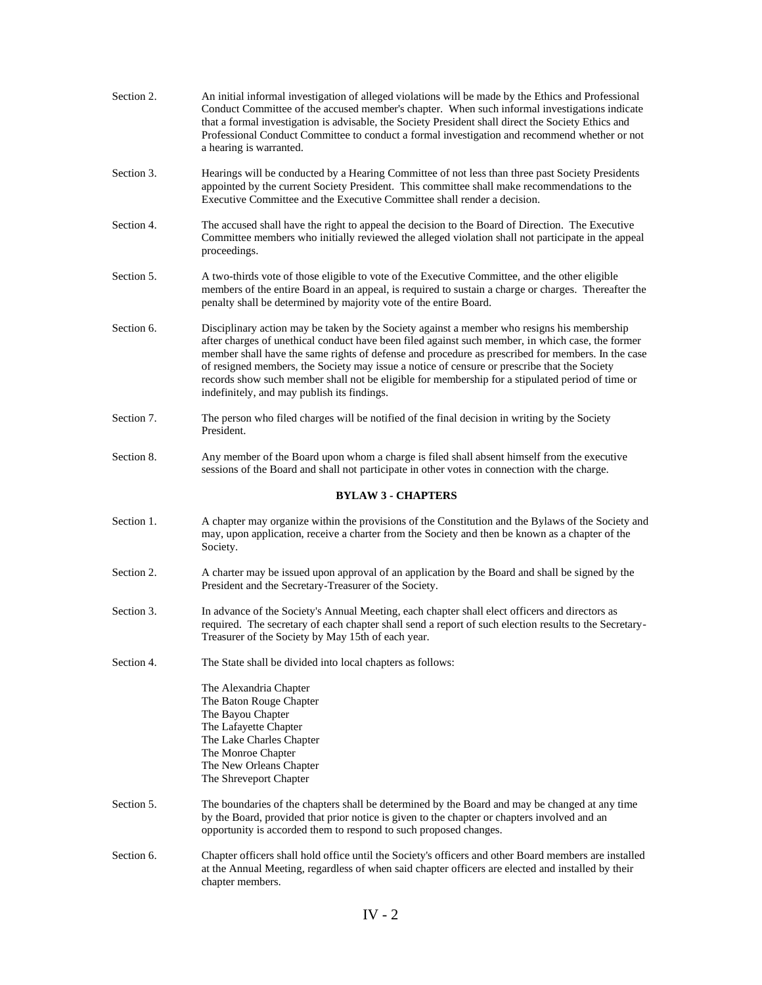| Section 2. | An initial informal investigation of alleged violations will be made by the Ethics and Professional<br>Conduct Committee of the accused member's chapter. When such informal investigations indicate<br>that a formal investigation is advisable, the Society President shall direct the Society Ethics and<br>Professional Conduct Committee to conduct a formal investigation and recommend whether or not<br>a hearing is warranted.                                                                                                                  |
|------------|----------------------------------------------------------------------------------------------------------------------------------------------------------------------------------------------------------------------------------------------------------------------------------------------------------------------------------------------------------------------------------------------------------------------------------------------------------------------------------------------------------------------------------------------------------|
| Section 3. | Hearings will be conducted by a Hearing Committee of not less than three past Society Presidents<br>appointed by the current Society President. This committee shall make recommendations to the<br>Executive Committee and the Executive Committee shall render a decision.                                                                                                                                                                                                                                                                             |
| Section 4. | The accused shall have the right to appeal the decision to the Board of Direction. The Executive<br>Committee members who initially reviewed the alleged violation shall not participate in the appeal<br>proceedings.                                                                                                                                                                                                                                                                                                                                   |
| Section 5. | A two-thirds vote of those eligible to vote of the Executive Committee, and the other eligible<br>members of the entire Board in an appeal, is required to sustain a charge or charges. Thereafter the<br>penalty shall be determined by majority vote of the entire Board.                                                                                                                                                                                                                                                                              |
| Section 6. | Disciplinary action may be taken by the Society against a member who resigns his membership<br>after charges of unethical conduct have been filed against such member, in which case, the former<br>member shall have the same rights of defense and procedure as prescribed for members. In the case<br>of resigned members, the Society may issue a notice of censure or prescribe that the Society<br>records show such member shall not be eligible for membership for a stipulated period of time or<br>indefinitely, and may publish its findings. |
| Section 7. | The person who filed charges will be notified of the final decision in writing by the Society<br>President.                                                                                                                                                                                                                                                                                                                                                                                                                                              |
| Section 8. | Any member of the Board upon whom a charge is filed shall absent himself from the executive<br>sessions of the Board and shall not participate in other votes in connection with the charge.                                                                                                                                                                                                                                                                                                                                                             |
|            | <b>BYLAW 3 - CHAPTERS</b>                                                                                                                                                                                                                                                                                                                                                                                                                                                                                                                                |
| Section 1. | A chapter may organize within the provisions of the Constitution and the Bylaws of the Society and<br>may, upon application, receive a charter from the Society and then be known as a chapter of the<br>Society.                                                                                                                                                                                                                                                                                                                                        |
| Section 2. | A charter may be issued upon approval of an application by the Board and shall be signed by the<br>President and the Secretary-Treasurer of the Society.                                                                                                                                                                                                                                                                                                                                                                                                 |
| Section 3. | In advance of the Society's Annual Meeting, each chapter shall elect officers and directors as<br>required. The secretary of each chapter shall send a report of such election results to the Secretary-<br>Treasurer of the Society by May 15th of each year.                                                                                                                                                                                                                                                                                           |
| Section 4. | The State shall be divided into local chapters as follows:                                                                                                                                                                                                                                                                                                                                                                                                                                                                                               |
|            | The Alexandria Chapter<br>The Baton Rouge Chapter<br>The Bayou Chapter<br>The Lafayette Chapter<br>The Lake Charles Chapter<br>The Monroe Chapter<br>The New Orleans Chapter<br>The Shreveport Chapter                                                                                                                                                                                                                                                                                                                                                   |
| Section 5. | The boundaries of the chapters shall be determined by the Board and may be changed at any time<br>by the Board, provided that prior notice is given to the chapter or chapters involved and an<br>opportunity is accorded them to respond to such proposed changes.                                                                                                                                                                                                                                                                                      |
| Section 6. | Chapter officers shall hold office until the Society's officers and other Board members are installed<br>at the Annual Meeting, regardless of when said chapter officers are elected and installed by their<br>chapter members.                                                                                                                                                                                                                                                                                                                          |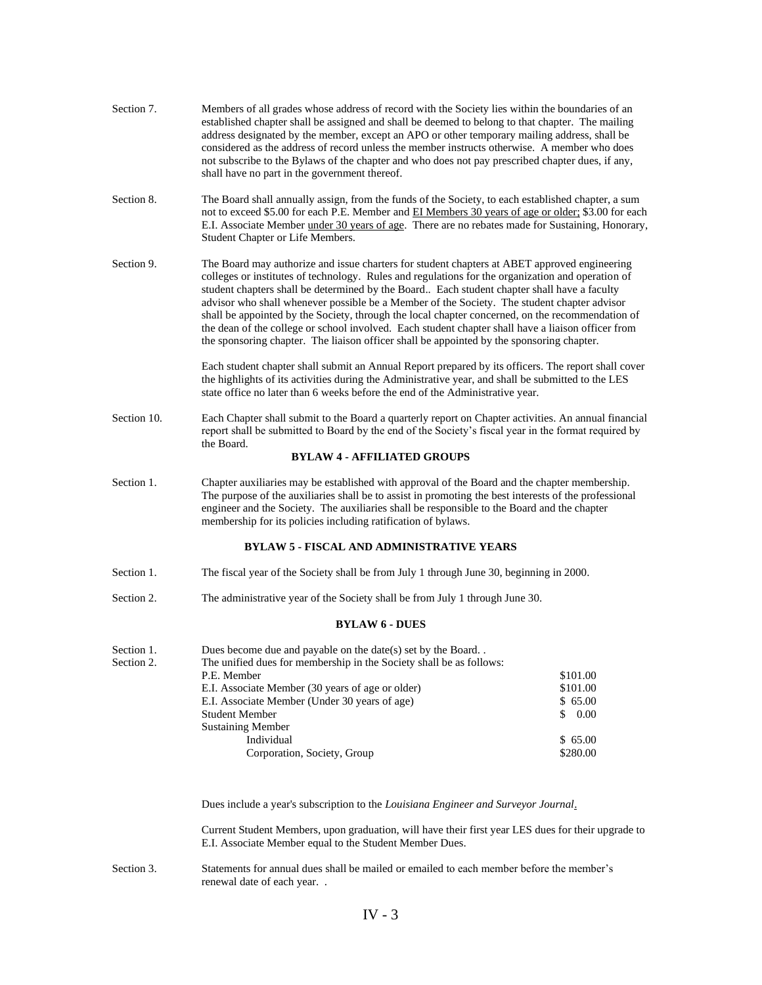| Section 7.               | Members of all grades whose address of record with the Society lies within the boundaries of an<br>established chapter shall be assigned and shall be deemed to belong to that chapter. The mailing<br>address designated by the member, except an APO or other temporary mailing address, shall be<br>considered as the address of record unless the member instructs otherwise. A member who does<br>not subscribe to the Bylaws of the chapter and who does not pay prescribed chapter dues, if any,<br>shall have no part in the government thereof.                                                                                                                                               |                    |
|--------------------------|--------------------------------------------------------------------------------------------------------------------------------------------------------------------------------------------------------------------------------------------------------------------------------------------------------------------------------------------------------------------------------------------------------------------------------------------------------------------------------------------------------------------------------------------------------------------------------------------------------------------------------------------------------------------------------------------------------|--------------------|
| Section 8.               | The Board shall annually assign, from the funds of the Society, to each established chapter, a sum<br>not to exceed \$5.00 for each P.E. Member and EI Members 30 years of age or older; \$3.00 for each<br>E.I. Associate Member under 30 years of age. There are no rebates made for Sustaining, Honorary,<br>Student Chapter or Life Members.                                                                                                                                                                                                                                                                                                                                                       |                    |
| Section 9.               | The Board may authorize and issue charters for student chapters at ABET approved engineering<br>colleges or institutes of technology. Rules and regulations for the organization and operation of<br>student chapters shall be determined by the Board Each student chapter shall have a faculty<br>advisor who shall whenever possible be a Member of the Society. The student chapter advisor<br>shall be appointed by the Society, through the local chapter concerned, on the recommendation of<br>the dean of the college or school involved. Each student chapter shall have a liaison officer from<br>the sponsoring chapter. The liaison officer shall be appointed by the sponsoring chapter. |                    |
|                          | Each student chapter shall submit an Annual Report prepared by its officers. The report shall cover<br>the highlights of its activities during the Administrative year, and shall be submitted to the LES<br>state office no later than 6 weeks before the end of the Administrative year.                                                                                                                                                                                                                                                                                                                                                                                                             |                    |
| Section 10.              | Each Chapter shall submit to the Board a quarterly report on Chapter activities. An annual financial<br>report shall be submitted to Board by the end of the Society's fiscal year in the format required by<br>the Board.                                                                                                                                                                                                                                                                                                                                                                                                                                                                             |                    |
|                          | <b>BYLAW 4 - AFFILIATED GROUPS</b>                                                                                                                                                                                                                                                                                                                                                                                                                                                                                                                                                                                                                                                                     |                    |
| Section 1.               | Chapter auxiliaries may be established with approval of the Board and the chapter membership.<br>The purpose of the auxiliaries shall be to assist in promoting the best interests of the professional<br>engineer and the Society. The auxiliaries shall be responsible to the Board and the chapter<br>membership for its policies including ratification of bylaws.                                                                                                                                                                                                                                                                                                                                 |                    |
|                          | <b>BYLAW 5 - FISCAL AND ADMINISTRATIVE YEARS</b>                                                                                                                                                                                                                                                                                                                                                                                                                                                                                                                                                                                                                                                       |                    |
| Section 1.               | The fiscal year of the Society shall be from July 1 through June 30, beginning in 2000.                                                                                                                                                                                                                                                                                                                                                                                                                                                                                                                                                                                                                |                    |
| Section 2.               | The administrative year of the Society shall be from July 1 through June 30.                                                                                                                                                                                                                                                                                                                                                                                                                                                                                                                                                                                                                           |                    |
|                          | <b>BYLAW 6 - DUES</b>                                                                                                                                                                                                                                                                                                                                                                                                                                                                                                                                                                                                                                                                                  |                    |
| Section 1.<br>Section 2. | Dues become due and payable on the date(s) set by the Board<br>The unified dues for membership in the Society shall be as follows:<br>P.E. Member                                                                                                                                                                                                                                                                                                                                                                                                                                                                                                                                                      | \$101.00           |
|                          | E.I. Associate Member (30 years of age or older)                                                                                                                                                                                                                                                                                                                                                                                                                                                                                                                                                                                                                                                       | \$101.00           |
|                          | E.I. Associate Member (Under 30 years of age)<br><b>Student Member</b>                                                                                                                                                                                                                                                                                                                                                                                                                                                                                                                                                                                                                                 | \$65.00<br>\$ 0.00 |
|                          | <b>Sustaining Member</b>                                                                                                                                                                                                                                                                                                                                                                                                                                                                                                                                                                                                                                                                               |                    |
|                          | Individual                                                                                                                                                                                                                                                                                                                                                                                                                                                                                                                                                                                                                                                                                             | \$65.00            |
|                          | Corporation, Society, Group                                                                                                                                                                                                                                                                                                                                                                                                                                                                                                                                                                                                                                                                            | \$280.00           |
|                          | Dues include a year's subscription to the Louisiana Engineer and Surveyor Journal.                                                                                                                                                                                                                                                                                                                                                                                                                                                                                                                                                                                                                     |                    |
|                          | Current Student Members, upon graduation, will have their first year LES dues for their upgrade to<br>E.I. Associate Member equal to the Student Member Dues.                                                                                                                                                                                                                                                                                                                                                                                                                                                                                                                                          |                    |
| Section 3.               | Statements for annual dues shall be mailed or emailed to each member before the member's<br>renewal date of each year                                                                                                                                                                                                                                                                                                                                                                                                                                                                                                                                                                                  |                    |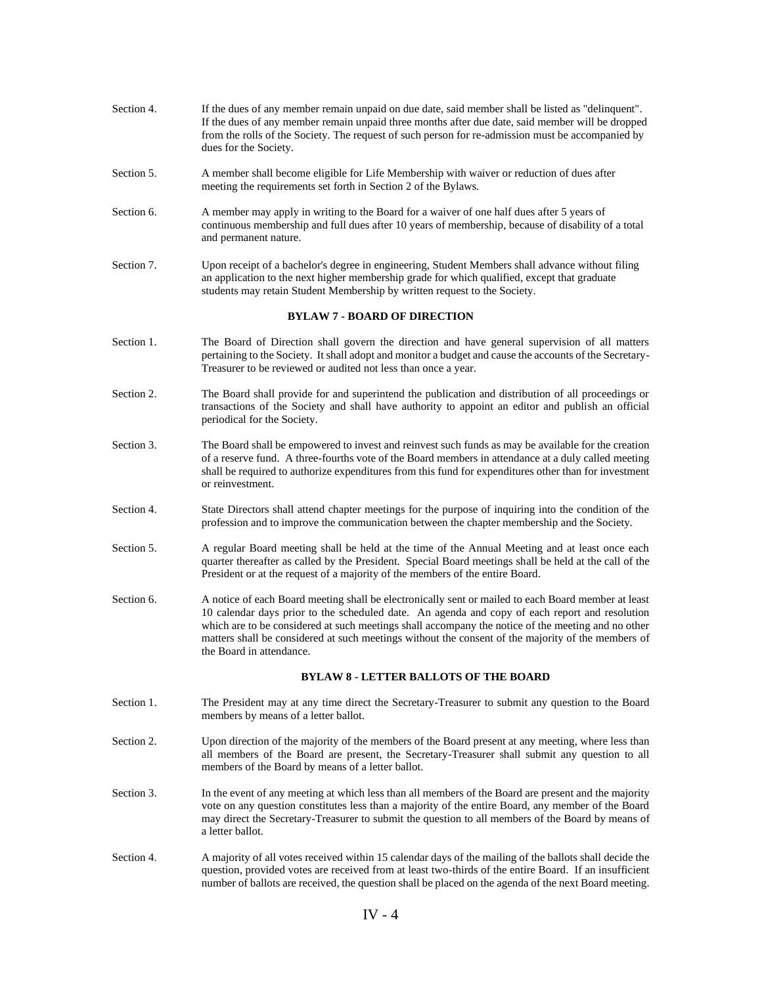| Section 4. | If the dues of any member remain unpaid on due date, said member shall be listed as "delinquent".<br>If the dues of any member remain unpaid three months after due date, said member will be dropped<br>from the rolls of the Society. The request of such person for re-admission must be accompanied by<br>dues for the Society.                                                                                                           |
|------------|-----------------------------------------------------------------------------------------------------------------------------------------------------------------------------------------------------------------------------------------------------------------------------------------------------------------------------------------------------------------------------------------------------------------------------------------------|
| Section 5. | A member shall become eligible for Life Membership with waiver or reduction of dues after<br>meeting the requirements set forth in Section 2 of the Bylaws.                                                                                                                                                                                                                                                                                   |
| Section 6. | A member may apply in writing to the Board for a waiver of one half dues after 5 years of<br>continuous membership and full dues after 10 years of membership, because of disability of a total<br>and permanent nature.                                                                                                                                                                                                                      |
| Section 7. | Upon receipt of a bachelor's degree in engineering, Student Members shall advance without filing<br>an application to the next higher membership grade for which qualified, except that graduate<br>students may retain Student Membership by written request to the Society.                                                                                                                                                                 |
|            | <b>BYLAW 7 - BOARD OF DIRECTION</b>                                                                                                                                                                                                                                                                                                                                                                                                           |
| Section 1. | The Board of Direction shall govern the direction and have general supervision of all matters<br>pertaining to the Society. It shall adopt and monitor a budget and cause the accounts of the Secretary-<br>Treasurer to be reviewed or audited not less than once a year.                                                                                                                                                                    |
| Section 2. | The Board shall provide for and superintend the publication and distribution of all proceedings or<br>transactions of the Society and shall have authority to appoint an editor and publish an official<br>periodical for the Society.                                                                                                                                                                                                        |
| Section 3. | The Board shall be empowered to invest and reinvest such funds as may be available for the creation<br>of a reserve fund. A three-fourths vote of the Board members in attendance at a duly called meeting<br>shall be required to authorize expenditures from this fund for expenditures other than for investment<br>or reinvestment.                                                                                                       |
| Section 4. | State Directors shall attend chapter meetings for the purpose of inquiring into the condition of the<br>profession and to improve the communication between the chapter membership and the Society.                                                                                                                                                                                                                                           |
| Section 5. | A regular Board meeting shall be held at the time of the Annual Meeting and at least once each<br>quarter thereafter as called by the President. Special Board meetings shall be held at the call of the<br>President or at the request of a majority of the members of the entire Board.                                                                                                                                                     |
| Section 6. | A notice of each Board meeting shall be electronically sent or mailed to each Board member at least<br>10 calendar days prior to the scheduled date. An agenda and copy of each report and resolution<br>which are to be considered at such meetings shall accompany the notice of the meeting and no other<br>matters shall be considered at such meetings without the consent of the majority of the members of<br>the Board in attendance. |
|            | <b>BYLAW 8 - LETTER BALLOTS OF THE BOARD</b>                                                                                                                                                                                                                                                                                                                                                                                                  |
| Section 1. | The President may at any time direct the Secretary-Treasurer to submit any question to the Board<br>members by means of a letter ballot.                                                                                                                                                                                                                                                                                                      |
| Section 2. | Upon direction of the majority of the members of the Board present at any meeting, where less than<br>all members of the Board are present, the Secretary-Treasurer shall submit any question to all<br>members of the Board by means of a letter ballot.                                                                                                                                                                                     |
| Section 3. | In the event of any meeting at which less than all members of the Board are present and the majority<br>vote on any question constitutes less than a majority of the entire Board, any member of the Board<br>may direct the Secretary-Treasurer to submit the question to all members of the Board by means of<br>a letter ballot.                                                                                                           |
| Section 4. | A majority of all votes received within 15 calendar days of the mailing of the ballots shall decide the<br>question, provided votes are received from at least two-thirds of the entire Board. If an insufficient<br>number of ballots are received, the question shall be placed on the agenda of the next Board meeting.                                                                                                                    |

# IV - 4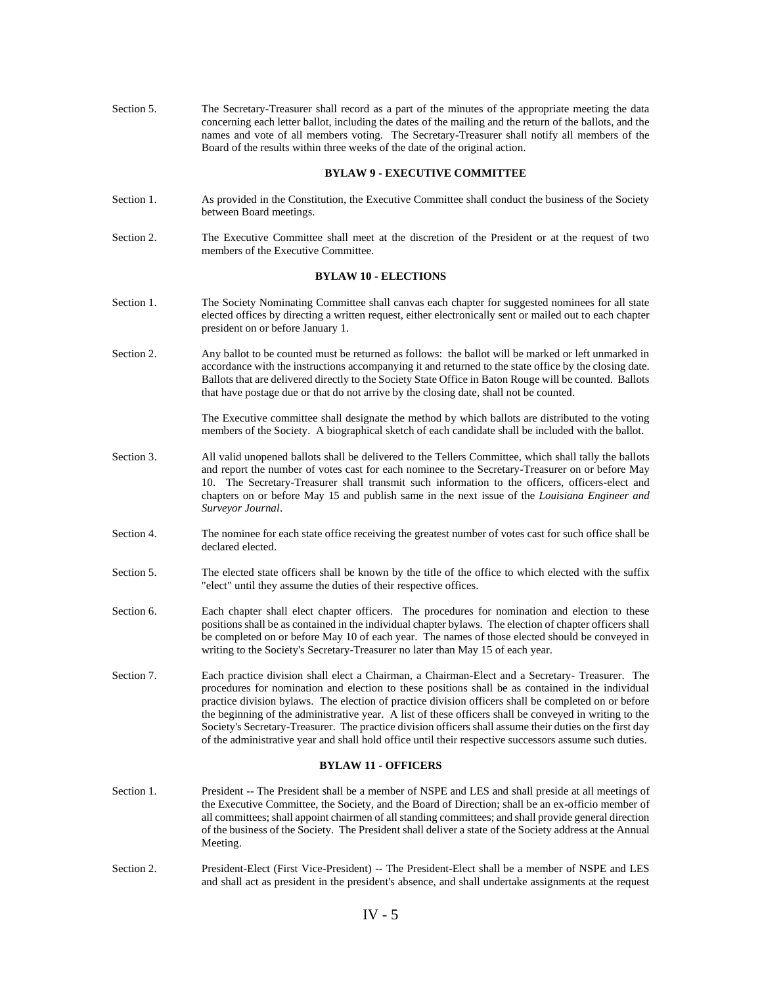| Section 5. | The Secretary-Treasurer shall record as a part of the minutes of the appropriate meeting the data<br>concerning each letter ballot, including the dates of the mailing and the return of the ballots, and the<br>names and vote of all members voting. The Secretary-Treasurer shall notify all members of the<br>Board of the results within three weeks of the date of the original action.                                                                                                                                                                                                                                                |
|------------|----------------------------------------------------------------------------------------------------------------------------------------------------------------------------------------------------------------------------------------------------------------------------------------------------------------------------------------------------------------------------------------------------------------------------------------------------------------------------------------------------------------------------------------------------------------------------------------------------------------------------------------------|
|            | <b>BYLAW 9 - EXECUTIVE COMMITTEE</b>                                                                                                                                                                                                                                                                                                                                                                                                                                                                                                                                                                                                         |
| Section 1. | As provided in the Constitution, the Executive Committee shall conduct the business of the Society<br>between Board meetings.                                                                                                                                                                                                                                                                                                                                                                                                                                                                                                                |
| Section 2. | The Executive Committee shall meet at the discretion of the President or at the request of two<br>members of the Executive Committee.                                                                                                                                                                                                                                                                                                                                                                                                                                                                                                        |
|            | <b>BYLAW 10 - ELECTIONS</b>                                                                                                                                                                                                                                                                                                                                                                                                                                                                                                                                                                                                                  |
| Section 1. | The Society Nominating Committee shall canvas each chapter for suggested nominees for all state<br>elected offices by directing a written request, either electronically sent or mailed out to each chapter<br>president on or before January 1.                                                                                                                                                                                                                                                                                                                                                                                             |
| Section 2. | Any ballot to be counted must be returned as follows: the ballot will be marked or left unmarked in<br>accordance with the instructions accompanying it and returned to the state office by the closing date.<br>Ballots that are delivered directly to the Society State Office in Baton Rouge will be counted. Ballots<br>that have postage due or that do not arrive by the closing date, shall not be counted.                                                                                                                                                                                                                           |
|            | The Executive committee shall designate the method by which ballots are distributed to the voting<br>members of the Society. A biographical sketch of each candidate shall be included with the ballot.                                                                                                                                                                                                                                                                                                                                                                                                                                      |
| Section 3. | All valid unopened ballots shall be delivered to the Tellers Committee, which shall tally the ballots<br>and report the number of votes cast for each nominee to the Secretary-Treasurer on or before May<br>10. The Secretary-Treasurer shall transmit such information to the officers, officers-elect and<br>chapters on or before May 15 and publish same in the next issue of the <i>Louisiana Engineer and</i><br>Surveyor Journal.                                                                                                                                                                                                    |
| Section 4. | The nominee for each state office receiving the greatest number of votes cast for such office shall be<br>declared elected.                                                                                                                                                                                                                                                                                                                                                                                                                                                                                                                  |
| Section 5. | The elected state officers shall be known by the title of the office to which elected with the suffix<br>"elect" until they assume the duties of their respective offices.                                                                                                                                                                                                                                                                                                                                                                                                                                                                   |
| Section 6. | Each chapter shall elect chapter officers. The procedures for nomination and election to these<br>positions shall be as contained in the individual chapter bylaws. The election of chapter officers shall<br>be completed on or before May 10 of each year. The names of those elected should be conveyed in<br>writing to the Society's Secretary-Treasurer no later than May 15 of each year.                                                                                                                                                                                                                                             |
| Section 7. | Each practice division shall elect a Chairman, a Chairman-Elect and a Secretary- Treasurer. The<br>procedures for nomination and election to these positions shall be as contained in the individual<br>practice division bylaws. The election of practice division officers shall be completed on or before<br>the beginning of the administrative year. A list of these officers shall be conveyed in writing to the<br>Society's Secretary-Treasurer. The practice division officers shall assume their duties on the first day<br>of the administrative year and shall hold office until their respective successors assume such duties. |
|            | <b>BYLAW 11 - OFFICERS</b>                                                                                                                                                                                                                                                                                                                                                                                                                                                                                                                                                                                                                   |
| Section 1. | President -- The President shall be a member of NSPE and LES and shall preside at all meetings of<br>the Executive Committee, the Society, and the Board of Direction; shall be an ex-officio member of<br>all committees; shall appoint chairmen of all standing committees; and shall provide general direction<br>of the business of the Society. The President shall deliver a state of the Society address at the Annual<br>Meeting.                                                                                                                                                                                                    |
| Section 2. | President-Elect (First Vice-President) -- The President-Elect shall be a member of NSPE and LES<br>and shall act as president in the president's absence, and shall undertake assignments at the request                                                                                                                                                                                                                                                                                                                                                                                                                                     |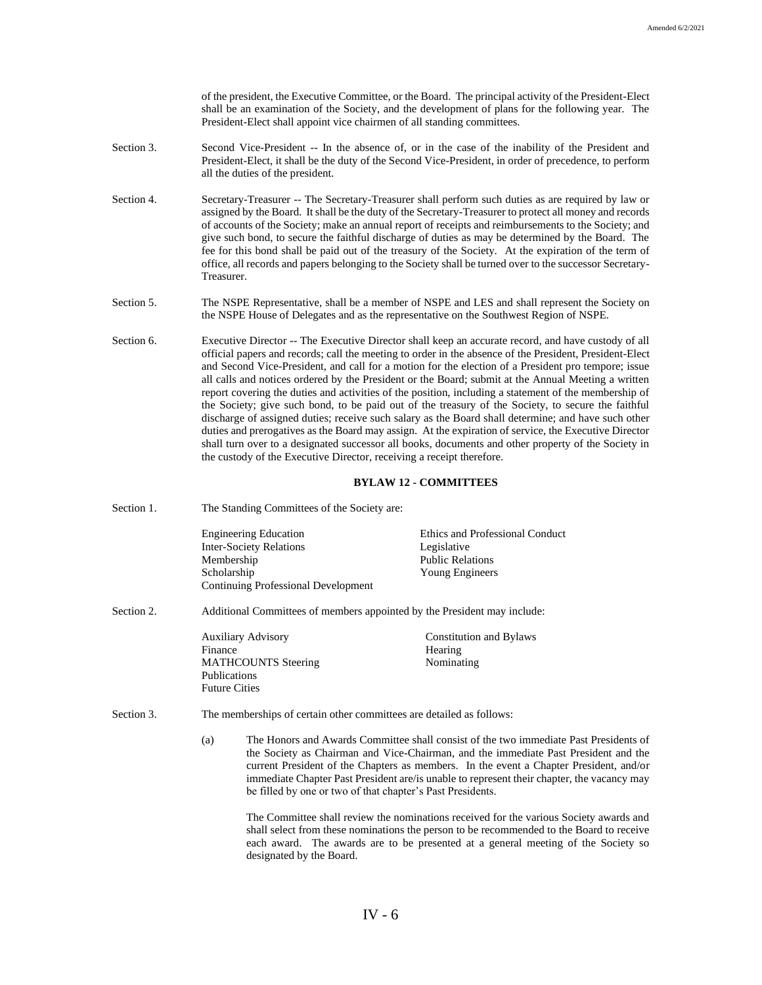of the president, the Executive Committee, or the Board. The principal activity of the President-Elect shall be an examination of the Society, and the development of plans for the following year. The President-Elect shall appoint vice chairmen of all standing committees.

- Section 3. Second Vice-President -- In the absence of, or in the case of the inability of the President and President-Elect, it shall be the duty of the Second Vice-President, in order of precedence, to perform all the duties of the president.
- Section 4. Secretary-Treasurer -- The Secretary-Treasurer shall perform such duties as are required by law or assigned by the Board. It shall be the duty of the Secretary-Treasurer to protect all money and records of accounts of the Society; make an annual report of receipts and reimbursements to the Society; and give such bond, to secure the faithful discharge of duties as may be determined by the Board. The fee for this bond shall be paid out of the treasury of the Society. At the expiration of the term of office, all records and papers belonging to the Society shall be turned over to the successor Secretary-Treasurer.
- Section 5. The NSPE Representative, shall be a member of NSPE and LES and shall represent the Society on the NSPE House of Delegates and as the representative on the Southwest Region of NSPE.
- Section 6. Executive Director -- The Executive Director shall keep an accurate record, and have custody of all official papers and records; call the meeting to order in the absence of the President, President-Elect and Second Vice-President, and call for a motion for the election of a President pro tempore; issue all calls and notices ordered by the President or the Board; submit at the Annual Meeting a written report covering the duties and activities of the position, including a statement of the membership of the Society; give such bond, to be paid out of the treasury of the Society, to secure the faithful discharge of assigned duties; receive such salary as the Board shall determine; and have such other duties and prerogatives as the Board may assign. At the expiration of service, the Executive Director shall turn over to a designated successor all books, documents and other property of the Society in the custody of the Executive Director, receiving a receipt therefore.

#### **BYLAW 12 - COMMITTEES**

Section 1. The Standing Committees of the Society are:

| <b>Engineering Education</b>        | Ethics and Professional Conduct |
|-------------------------------------|---------------------------------|
| <b>Inter-Society Relations</b>      | Legislative                     |
| Membership                          | <b>Public Relations</b>         |
| Scholarship                         | Young Engineers                 |
| Continuing Professional Development |                                 |

Section 2. Additional Committees of members appointed by the President may include:

Auxiliary Advisory Constitution and Bylaws Finance Hearing MATHCOUNTS Steering Nominating Publications Future Cities

- Section 3. The memberships of certain other committees are detailed as follows:
	- (a) The Honors and Awards Committee shall consist of the two immediate Past Presidents of the Society as Chairman and Vice-Chairman, and the immediate Past President and the current President of the Chapters as members. In the event a Chapter President, and/or immediate Chapter Past President are/is unable to represent their chapter, the vacancy may be filled by one or two of that chapter's Past Presidents.

The Committee shall review the nominations received for the various Society awards and shall select from these nominations the person to be recommended to the Board to receive each award. The awards are to be presented at a general meeting of the Society so designated by the Board.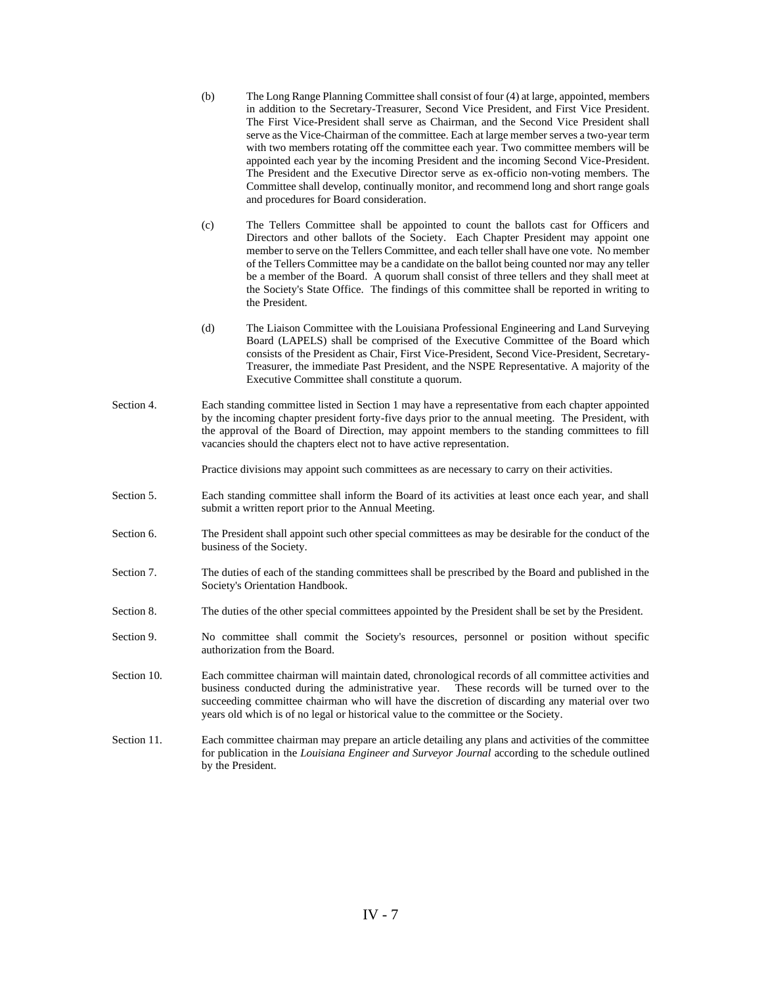- (b) The Long Range Planning Committee shall consist of four (4) at large, appointed, members in addition to the Secretary-Treasurer, Second Vice President, and First Vice President. The First Vice-President shall serve as Chairman, and the Second Vice President shall serve as the Vice-Chairman of the committee. Each at large member serves a two-year term with two members rotating off the committee each year. Two committee members will be appointed each year by the incoming President and the incoming Second Vice-President. The President and the Executive Director serve as ex-officio non-voting members. The Committee shall develop, continually monitor, and recommend long and short range goals and procedures for Board consideration.
- (c) The Tellers Committee shall be appointed to count the ballots cast for Officers and Directors and other ballots of the Society. Each Chapter President may appoint one member to serve on the Tellers Committee, and each teller shall have one vote. No member of the Tellers Committee may be a candidate on the ballot being counted nor may any teller be a member of the Board. A quorum shall consist of three tellers and they shall meet at the Society's State Office. The findings of this committee shall be reported in writing to the President.
- (d) The Liaison Committee with the Louisiana Professional Engineering and Land Surveying Board (LAPELS) shall be comprised of the Executive Committee of the Board which consists of the President as Chair, First Vice-President, Second Vice-President, Secretary-Treasurer, the immediate Past President, and the NSPE Representative. A majority of the Executive Committee shall constitute a quorum.
- Section 4. Each standing committee listed in Section 1 may have a representative from each chapter appointed by the incoming chapter president forty-five days prior to the annual meeting. The President, with the approval of the Board of Direction, may appoint members to the standing committees to fill vacancies should the chapters elect not to have active representation.

Practice divisions may appoint such committees as are necessary to carry on their activities.

- Section 5. Each standing committee shall inform the Board of its activities at least once each year, and shall submit a written report prior to the Annual Meeting.
- Section 6. The President shall appoint such other special committees as may be desirable for the conduct of the business of the Society.
- Section 7. The duties of each of the standing committees shall be prescribed by the Board and published in the Society's Orientation Handbook.
- Section 8. The duties of the other special committees appointed by the President shall be set by the President.
- Section 9. No committee shall commit the Society's resources, personnel or position without specific authorization from the Board.
- Section 10. Each committee chairman will maintain dated, chronological records of all committee activities and business conducted during the administrative year. These records will be turned over to the succeeding committee chairman who will have the discretion of discarding any material over two years old which is of no legal or historical value to the committee or the Society.
- Section 11. Each committee chairman may prepare an article detailing any plans and activities of the committee for publication in the *Louisiana Engineer and Surveyor Journal* according to the schedule outlined by the President.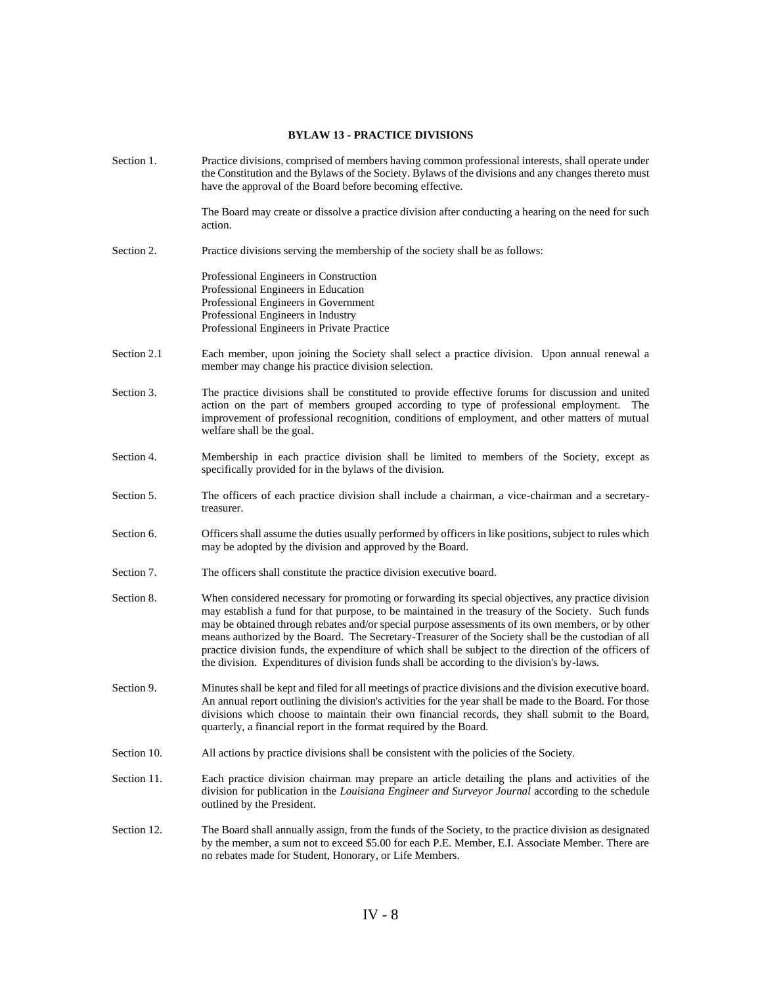## **BYLAW 13 - PRACTICE DIVISIONS**

| Section 1.  | Practice divisions, comprised of members having common professional interests, shall operate under<br>the Constitution and the Bylaws of the Society. Bylaws of the divisions and any changes thereto must<br>have the approval of the Board before becoming effective.                                                                                                                                                                                                                                                                                                                                                        |
|-------------|--------------------------------------------------------------------------------------------------------------------------------------------------------------------------------------------------------------------------------------------------------------------------------------------------------------------------------------------------------------------------------------------------------------------------------------------------------------------------------------------------------------------------------------------------------------------------------------------------------------------------------|
|             | The Board may create or dissolve a practice division after conducting a hearing on the need for such<br>action.                                                                                                                                                                                                                                                                                                                                                                                                                                                                                                                |
| Section 2.  | Practice divisions serving the membership of the society shall be as follows:                                                                                                                                                                                                                                                                                                                                                                                                                                                                                                                                                  |
|             | Professional Engineers in Construction<br>Professional Engineers in Education<br>Professional Engineers in Government<br>Professional Engineers in Industry<br>Professional Engineers in Private Practice                                                                                                                                                                                                                                                                                                                                                                                                                      |
| Section 2.1 | Each member, upon joining the Society shall select a practice division. Upon annual renewal a<br>member may change his practice division selection.                                                                                                                                                                                                                                                                                                                                                                                                                                                                            |
| Section 3.  | The practice divisions shall be constituted to provide effective forums for discussion and united<br>action on the part of members grouped according to type of professional employment.<br>The<br>improvement of professional recognition, conditions of employment, and other matters of mutual<br>welfare shall be the goal.                                                                                                                                                                                                                                                                                                |
| Section 4.  | Membership in each practice division shall be limited to members of the Society, except as<br>specifically provided for in the bylaws of the division.                                                                                                                                                                                                                                                                                                                                                                                                                                                                         |
| Section 5.  | The officers of each practice division shall include a chairman, a vice-chairman and a secretary-<br>treasurer.                                                                                                                                                                                                                                                                                                                                                                                                                                                                                                                |
| Section 6.  | Officers shall assume the duties usually performed by officers in like positions, subject to rules which<br>may be adopted by the division and approved by the Board.                                                                                                                                                                                                                                                                                                                                                                                                                                                          |
| Section 7.  | The officers shall constitute the practice division executive board.                                                                                                                                                                                                                                                                                                                                                                                                                                                                                                                                                           |
| Section 8.  | When considered necessary for promoting or forwarding its special objectives, any practice division<br>may establish a fund for that purpose, to be maintained in the treasury of the Society. Such funds<br>may be obtained through rebates and/or special purpose assessments of its own members, or by other<br>means authorized by the Board. The Secretary-Treasurer of the Society shall be the custodian of all<br>practice division funds, the expenditure of which shall be subject to the direction of the officers of<br>the division. Expenditures of division funds shall be according to the division's by-laws. |
| Section 9.  | Minutes shall be kept and filed for all meetings of practice divisions and the division executive board.<br>An annual report outlining the division's activities for the year shall be made to the Board. For those<br>divisions which choose to maintain their own financial records, they shall submit to the Board,<br>quarterly, a financial report in the format required by the Board.                                                                                                                                                                                                                                   |
| Section 10. | All actions by practice divisions shall be consistent with the policies of the Society.                                                                                                                                                                                                                                                                                                                                                                                                                                                                                                                                        |
| Section 11. | Each practice division chairman may prepare an article detailing the plans and activities of the<br>division for publication in the Louisiana Engineer and Surveyor Journal according to the schedule<br>outlined by the President.                                                                                                                                                                                                                                                                                                                                                                                            |
| Section 12. | The Board shall annually assign, from the funds of the Society, to the practice division as designated<br>by the member, a sum not to exceed \$5.00 for each P.E. Member, E.I. Associate Member. There are<br>no rebates made for Student, Honorary, or Life Members.                                                                                                                                                                                                                                                                                                                                                          |